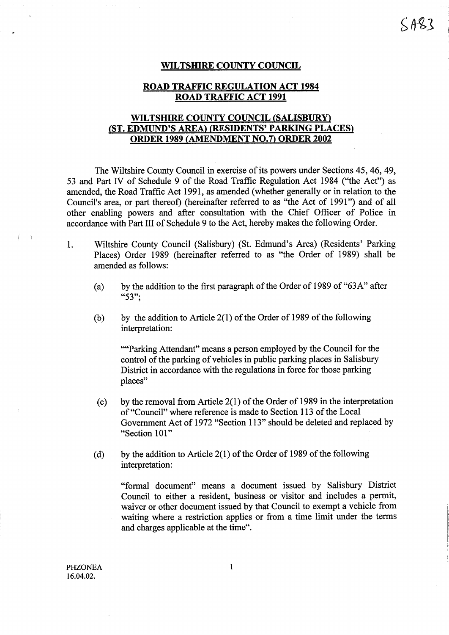#### WILTSHIRE COUNTY COUNCIL

# ROAD TRAFFIC REGULATION ACT <sup>1984</sup> ROAD TRAFFIC ACT <sup>1991</sup>

# WILTSHIRE COUNTY COUNCIL (SALISBURY) (ST. EDMUND'S AREA) (RESIDENTS' PARKING PLACES) ORDER <sup>1989</sup> (AMENDMENT NO.7) ORDER <sup>2002</sup>

The Wiltshire County Council in exercise of its powers under Sections 45, 46, 49, 53 and Part IV of Schedule 9 of the Road Traffic Regulation Act 1984 ("the Act") as amended, the Road Traffic Act 1991, as amended (whether generally or in relation to the Council's area, or part thereof) (hereinafter referred to as "the Act of 1991") and of all other enabling powers and after consultation with the Chief Officer of Police in accordance with Part III of Schedule 9 to the Act, hereby makes the following Order.

- <sup>1</sup> . Wiltshire County Council (Salisbury) (St. Edmund's Area) (Residents' Parking Places) Order 1989 (hereinafter referred to as "the Order of 1989) shall be amended as follows:
	- (a) by the addition to the first paragraph of the Order of 1989 of "63A" after "53";
	- (b) by the addition to Article  $2(1)$  of the Order of 1989 of the following interpretation:

""Parking Attendant" means a person employed by the Council for the control of the parking of vehicles in public parking places in Salisbury District in accordance with the regulations in force for those parking places"

- (c) by the removal from Article  $2(1)$  of the Order of 1989 in the interpretation of "Council" where reference is made to Section 113 of the Local Government Act of 1972 "Section 113" should be deleted and replaced by "Section 101"
- (d) by the addition to Article 2(1) of the Order of 1989 of the following interpretation:

"formal document" means a document issued by Salisbury District Council to either a resident, business or visitor and includes a permit, waiver or other document issued by that Council to exempt a vehicle from waiting where a restriction applies or from a time limit under the terms and charges applicable at the time".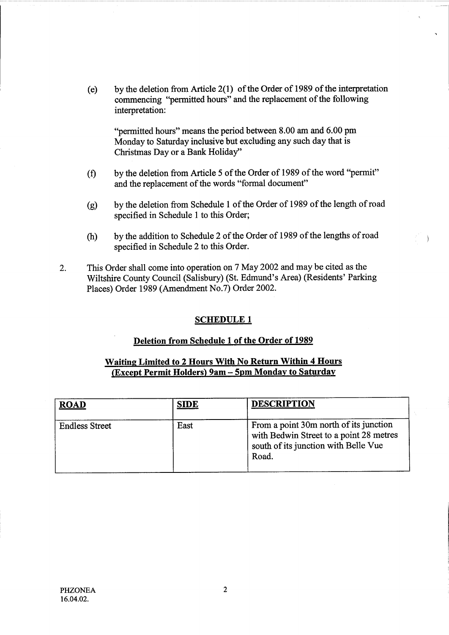(e) by the deletion from Article 2(1) of the Order of 1989 of the interpretation commencing "permitted hours" and the replacement of the following interpretation:

"permitted hours" means the period between 8.00 am and 6.00 pm Monday to Saturday inclusive but excluding any such day that is Christmas Day or a Bank Holiday"

- by the deletion from Article 5 of the Order of 1989 of the word "permit"  $(f)$ and the replacement of the words "formal document"
- by the deletion from Schedule 1 of the Order of 1989 of the length of road  $(g)$ specified in Schedule <sup>1</sup> to this Order;
- by the addition to Schedule 2 of the Order of 1989 of the lengths of road  $(h)$ specified in Schedule 2 to this Order.
- 2. This Order shall come into operation on <sup>7</sup> May 2002 and may be cited as the Wiltshire County Council (Salisbury) (St. Edmund's Area) (Residents' Parking Places) Order 1989 (Amendment No.7) Order 2002.

### SCHEDULE <sup>1</sup>

### Deletion from Schedule 1 of the Order of 1989

# Waiting Limited to <sup>2</sup> Hours With No Return Within 4 Hours (Except Permit Holders) 9am - 5pm Monday to Saturday

| <b>ROAD</b>           | <b>SIDE</b> | <b>DESCRIPTION</b>                                                                                                                 |
|-----------------------|-------------|------------------------------------------------------------------------------------------------------------------------------------|
| <b>Endless Street</b> | East        | From a point 30m north of its junction<br>with Bedwin Street to a point 28 metres<br>south of its junction with Belle Vue<br>Road. |